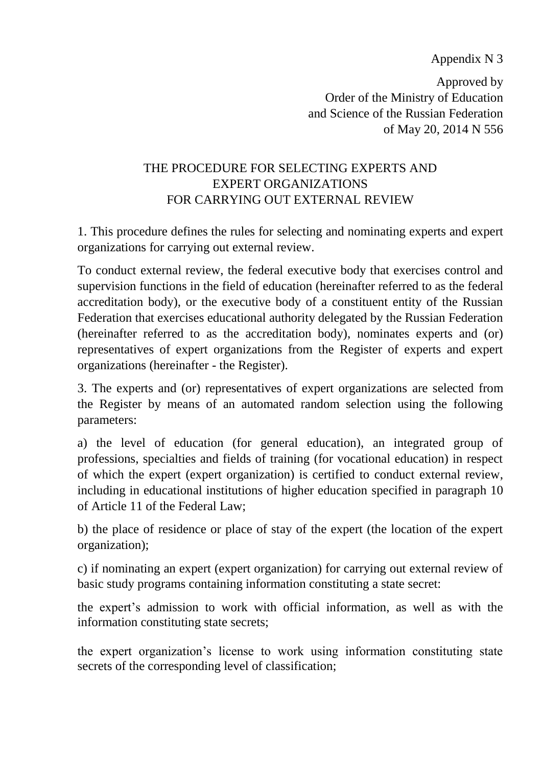Appendix N 3

Approved by Order of the Ministry of Education and Science of the Russian Federation of May 20, 2014 N 556

## THE PROCEDURE FOR SELECTING EXPERTS AND EXPERT ORGANIZATIONS FOR CARRYING OUT EXTERNAL REVIEW

1. This procedure defines the rules for selecting and nominating experts and expert organizations for carrying out external review.

To conduct external review, the federal executive body that exercises control and supervision functions in the field of education (hereinafter referred to as the federal accreditation body), or the executive body of a constituent entity of the Russian Federation that exercises educational authority delegated by the Russian Federation (hereinafter referred to as the accreditation body), nominates experts and (or) representatives of expert organizations from the Register of experts and expert organizations (hereinafter - the Register).

3. The experts and (or) representatives of expert organizations are selected from the Register by means of an automated random selection using the following parameters:

a) the level of education (for general education), an integrated group of professions, specialties and fields of training (for vocational education) in respect of which the expert (expert organization) is certified to conduct external review, including in educational institutions of higher education specified in paragraph 10 of Article 11 of the Federal Law;

b) the place of residence or place of stay of the expert (the location of the expert organization);

c) if nominating an expert (expert organization) for carrying out external review of basic study programs containing information constituting a state secret:

the expert's admission to work with official information, as well as with the information constituting state secrets;

the expert organization's license to work using information constituting state secrets of the corresponding level of classification;